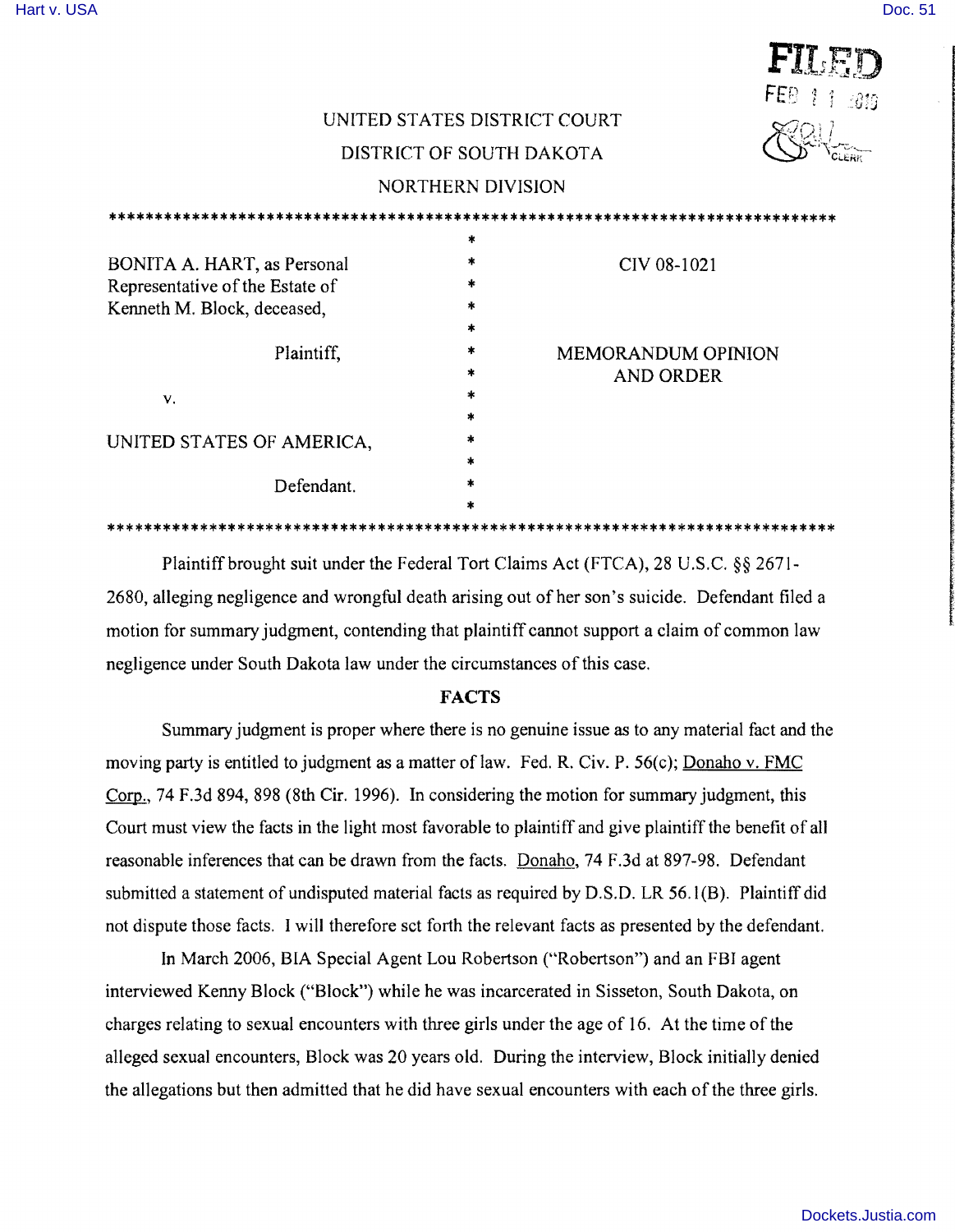# UNITED STATES DISTRICT COURT

## DISTRICT OF SOUTH DAKOTA

## NORTHERN DIVISION

|                                 | *             |                           |
|---------------------------------|---------------|---------------------------|
| BONITA A. HART, as Personal     | *             | CIV 08-1021               |
| Representative of the Estate of | $\ast$        |                           |
| Kenneth M. Block, deceased,     | $\ast$        |                           |
|                                 | *             |                           |
| Plaintiff,                      | $\ast$        | <b>MEMORANDUM OPINION</b> |
|                                 | *             | <b>AND ORDER</b>          |
| V.                              | $\ast$        |                           |
|                                 | *             |                           |
| UNITED STATES OF AMERICA,       | *             |                           |
|                                 | $\frac{1}{2}$ |                           |
| Defendant.                      | *             |                           |
|                                 | *             |                           |
|                                 |               |                           |

Plaintiff brought suit under the Federal Tort Claims Act (FTCA), 28 U.S.C. §§ 2671-2680, alleging negligence and wrongful death arising out of her son's suicide. Defendant filed a motion for summary judgment, contending that plaintiff cannot support a claim of common law negligence under South Dakota law under the circumstances of this case.

## **FACTS**

Summary judgment is proper where there is no genuine issue as to any material fact and the moving party is entitled to judgment as a matter of law. Fed. R. Civ. P. 56(c); Donaho v. FMC Corp., 74 F.3d 894, 898 (8th Cir. 1996). In considering the motion for summary judgment, this Court must view the facts in the light most favorable to plaintiff and give plaintiff the benefit of all reasonable inferences that can be drawn from the facts. Donaho, 74 F.3d at 897-98. Defendant submitted a statement of undisputed material facts as required by D.S.D. LR 56.1(B). Plaintiff did not dispute those facts. I will therefore sct forth the relevant facts as presented by the defendant.

In March 2006, BIA Special Agent Lou Robertson ("Robertson") and an FBI agent interviewed Kenny Block ("Block") while he was incarcerated in Sisseton, South Dakota, on charges relating to sexual encounters with three girls under the age of 16. At the time of the alleged sexual encounters, Block was 20 years old. During the interview, Block initially denied the allegations but then admitted that he did have sexual encounters with each ofthe three girls.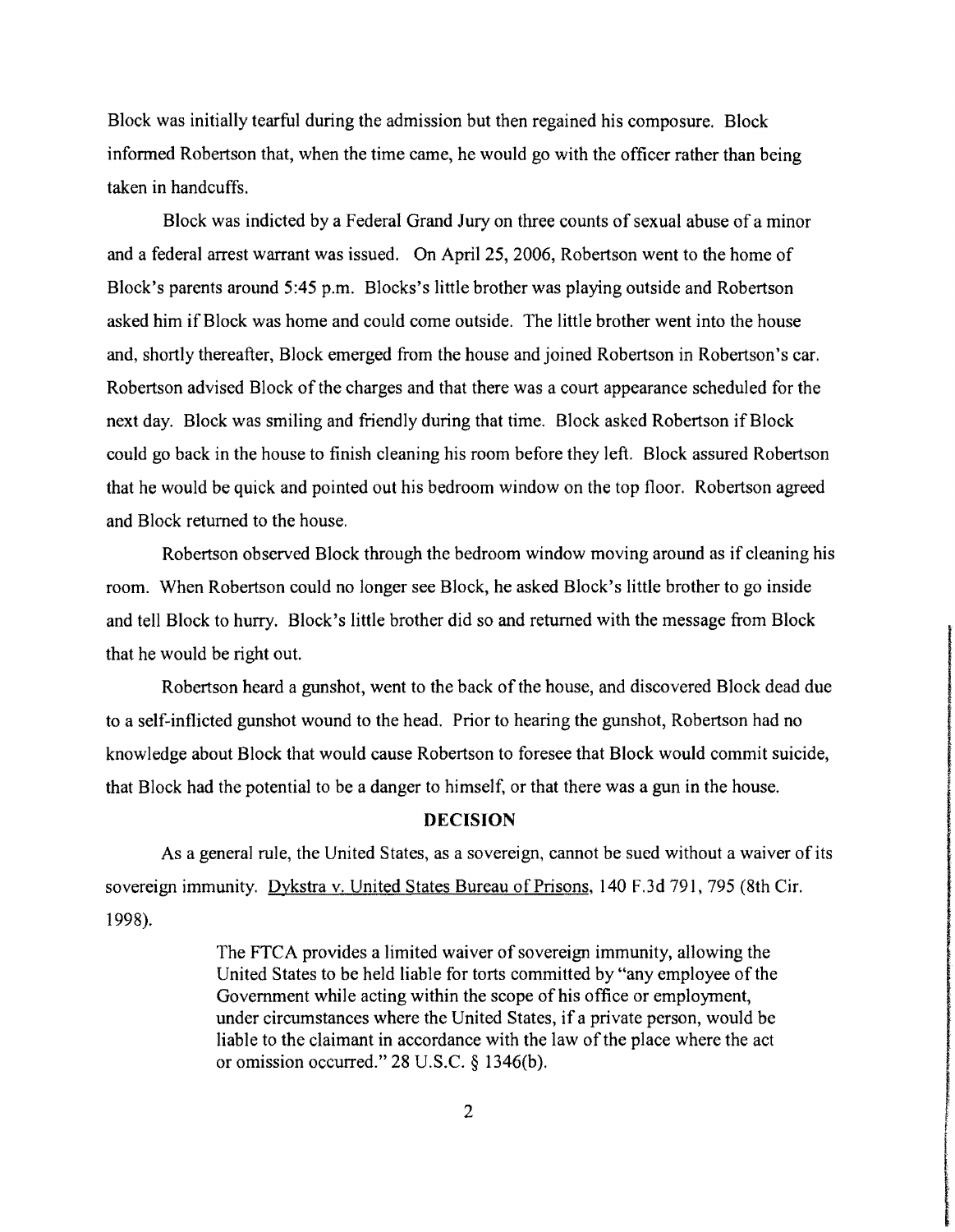Block was initially tearful during the admission but then regained his composure. Block informed Robertson that, when the time came, he would go with the officer rather than being taken in handcuffs.

Block was indicted by a Federal Grand Jury on three counts of sexual abuse of a minor and a federal arrest warrant was issued. On April 25, 2006, Robertson went to the home of Block's parents around 5:45 p.m. Blocks's little brother was playing outside and Robertson asked him if Block was home and could come outside. The little brother went into the house and, shortly thereafter, Block emerged from the house and joined Robertson in Robertson's car. Robertson advised Block of the charges and that there was a court appearance scheduled for the next day. Block was smiling and friendly during that time. Block asked Robertson if Block could go back in the house to finish cleaning his room before they left. Block assured Robertson that he would be quick and pointed out his bedroom window on the top floor. Robertson agreed and Block returned to the house.

Robertson observed Block through the bedroom window moving around as if cleaning his room. When Robertson could no longer see Block, he asked Block's little brother to go inside and tell Block to hurry. Block's little brother did so and returned with the message from Block that he would be right out.

Robertson heard a gunshot, went to the back of the house, and discovered Block dead due to a self-inflicted gunshot wound to the head. Prior to hearing the gunshot, Robertson had no knowledge about Block that would cause Robertson to foresee that Block would commit suicide, that Block had the potential to be a danger to himself, or that there was a gun in the house.

#### **DECISION**

As a general rule, the United States, as a sovereign, cannot be sued without a waiver of its sovereign immunity. Dykstra v. United States Bureau of Prisons, 140 F.3d 791, 795 (8th Cir. 1998).

> The FTCA provides a limited waiver of sovereign immunity, allowing the United States to be held liable for torts committed by "any employee of the Government while acting within the scope of his office or employment, under circumstances where the United States, if a private person, would be liable to the claimant in accordance with the law of the place where the act or omission occurred." 28 U.S.C. § 1346(b).

> > International Control of the Control of Control of Control of Control of Control of Control of Control of Control of Control of Control of Control of Control of Control of Control of Control of Control of Control of Contro

**International Construction of the Const**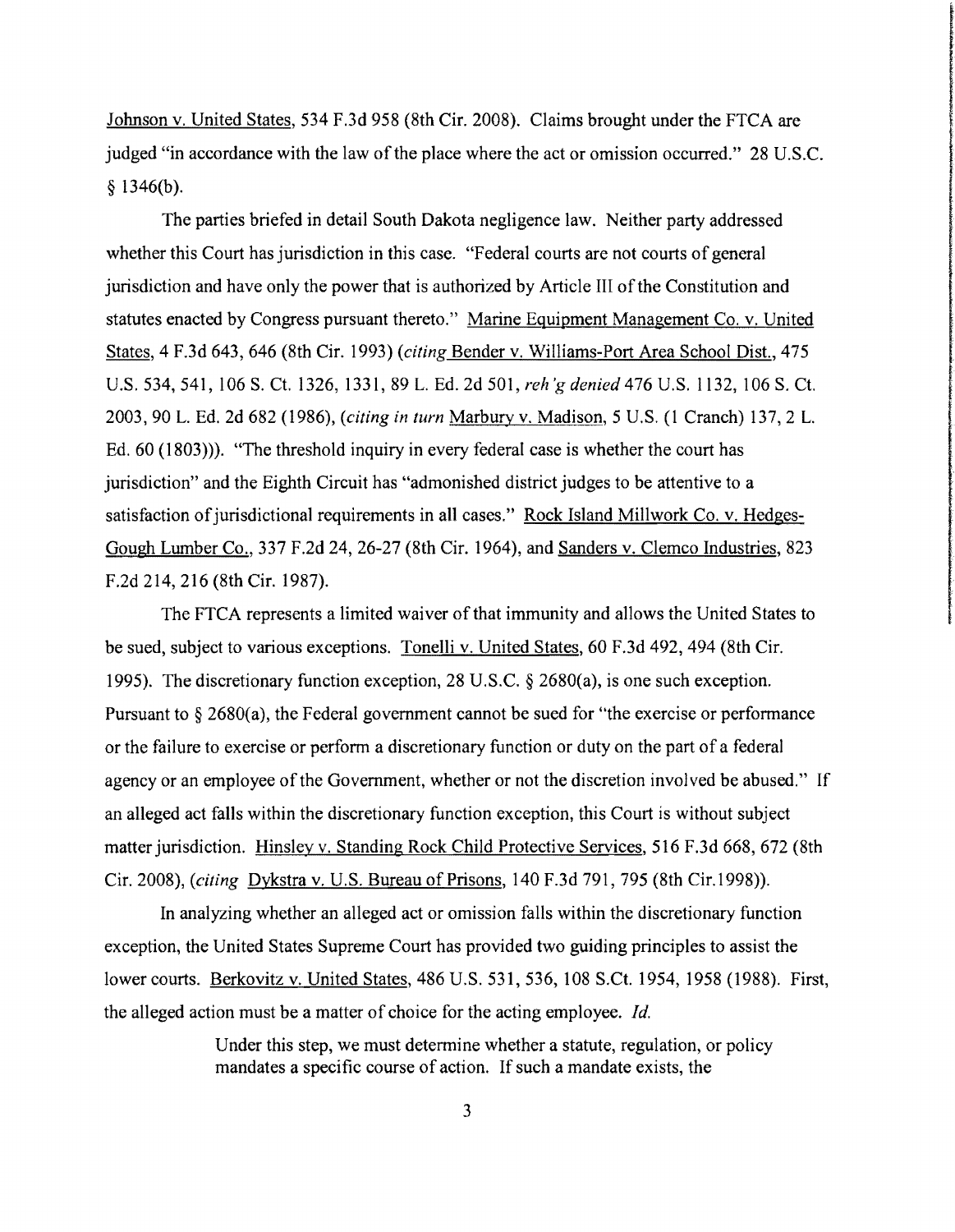Johnson v. United States, 534 F.3d 958 (8th Cir. 2008). Claims brought under the FTCA are judged "in accordance with the law of the place where the act or omission occurred." 28 U.S.C.  $§$  1346(b).

The parties briefed in detail South Dakota negligence law. Neither party addressed whether this Court has jurisdiction in this case. "Federal courts are not courts of general jurisdiction and have only the power that is authorized by Article III ofthe Constitution and statutes enacted by Congress pursuant thereto." Marine Equipment Management Co. v. United States, 4 F.3d 643, 646 (8th Cir. 1993) *(citing Bender v. Williams-Port Area School Dist.*, 475 U.S. 534,541,106 S. Ct. 1326, 1331,89 LEd. 2d 501, *reh'g denied* 476 U.S. 1132,106 S. Ct. 2003,90 LEd. 2d 682 (1986), *(citing in turn* Marbury v. Madison, 5 U.S. (l Cranch) 137,2 L Ed. 60 (1803»). "The threshold inquiry in every federal case is whether the court has jurisdiction" and the Eighth Circuit has "admonished district judges to be attentive to a satisfaction of jurisdictional requirements in all cases." Rock Island Millwork Co. v. Hedges-Gough Lumber Co., 337 F.2d 24,26-27 (8th Cir. 1964), and Sanders v. Clemco Industries, 823 F.2d 214, 216 (8th Cir. 1987).

The FTCA represents a limited waiver of that immunity and allows the United States to be sued, subject to various exceptions. Tonelli v. United States, 60 F.3d 492, 494 (8th Cir. 1995). The discretionary function exception, 28 U.S.c. § 2680(a), is one such exception. Pursuant to  $\S 2680(a)$ , the Federal government cannot be sued for "the exercise or performance" or the failure to exercise or perform a discretionary function or duty on the part of a federal agency or an employee of the Government, whether or not the discretion involved be abused." If an alleged act falls within the discretionary function exception, this Court is without subject matter jurisdiction. Hinsley v. Standing Rock Child Protective Services, 516 F.3d 668, 672 (8th Cir. 2008), *{citing* Dykstra v. U.S. Bureau of Prisons, 140 F.3d 791,795 (8th Cir.1998».

In analyzing whether an alleged act or omission falls within the discretionary function exception, the United States Supreme Court has provided two guiding principles to assist the lower courts. Berkovitz v. United States, 486 U.S. 531, 536,108 S.Ct. 1954, 1958 (1988). First, the alleged action must be a matter of choice for the acting employee. *[d.* 

> Under this step, we must determine whether a statute, regulation, or policy mandates a specific course of action. If such a mandate exists, the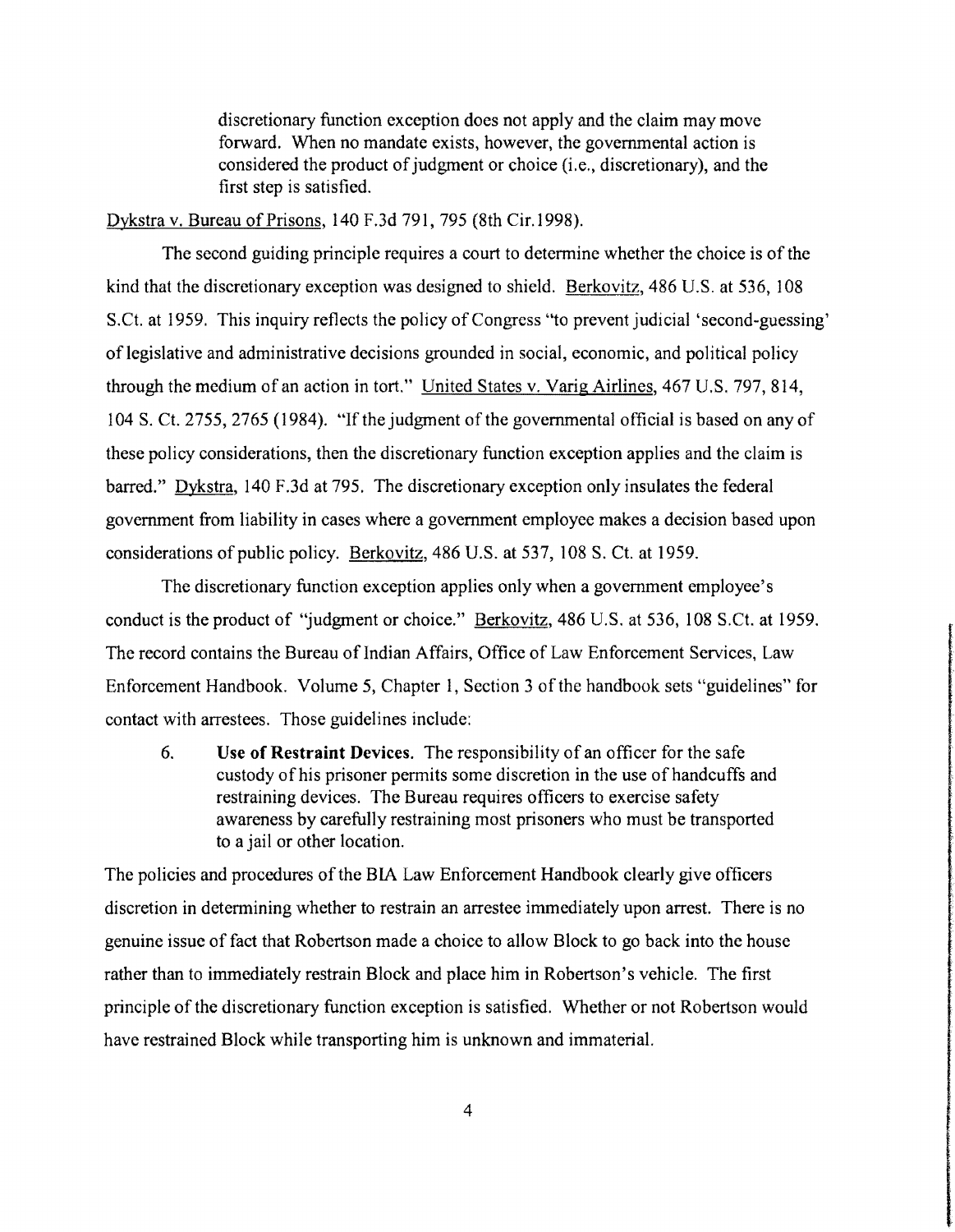discretionary function exception does not apply and the claim may move forward. When no mandate exists, however, the governmental action is considered the product of judgment or choice (i.e., discretionary), and the first step is satisfied.

Dykstra v. Bureau of Prisons, 140 F.3d 791,795 (8th Cir.1998).

The second guiding principle requires a court to determine whether the choice is of the kind that the discretionary exception was designed to shield. Berkovitz, 486 U.S. at 536, 108 S.Ct. at 1959. This inquiry reflects the policy of Congress "to prevent judicial 'second-guessing' of legislative and administrative decisions grounded in social, economic, and political policy through the medium of an action in tort." United States v. Varig Airlines, 467 U.S. 797, 814, 104 S. Ct. 2755, 2765 (1984). "If the judgment of the governmental official is based on any of these policy considerations, then the discretionary function exception applies and the claim is barred." Dykstra, 140 F.3d at 795. The discretionary exception only insulates the federal government from liability in cases where a government employee makes a decision based upon considerations of public policy. Berkovitz, 486 U.S. at 537,108 S. Ct. at 1959.

The discretionary function exception applies only when a government employee's conduct is the product of "judgment or choice." Berkovitz, 486 U.S. at 536, 108 S.Ct. at 1959. The record contains the Bureau of Indian Affairs, Office of Law Enforcement Services, Law Enforcement Handbook. Volume 5, Chapter 1, Section 3 of the handbook sets "guidelines" for contact with arrestees. Those guidelines include:

6. Use **of Restraint** Devices. The responsibility of an officer for the safe custody of his prisoner permits some discretion in the use of handcuffs and restraining devices. The Bureau requires officers to exercise safety awareness by carefully restraining most prisoners who must be transported to a jailor other location.

The policies and procedures of the BIA Law Enforcement Handbook clearly give officers discretion in determining whether to restrain an arrestee immediately upon arrest. There is no genuine issue of fact that Robertson made a choice to allow Block to go back into the house rather than to immediately restrain Block and place him in Robertson's vehicle. The first principle of the discretionary function exception is satisfied. Whether or not Robertson would have restrained Block while transporting him is unknown and immaterial.

ados sostia constantino es de Calendario de Lo